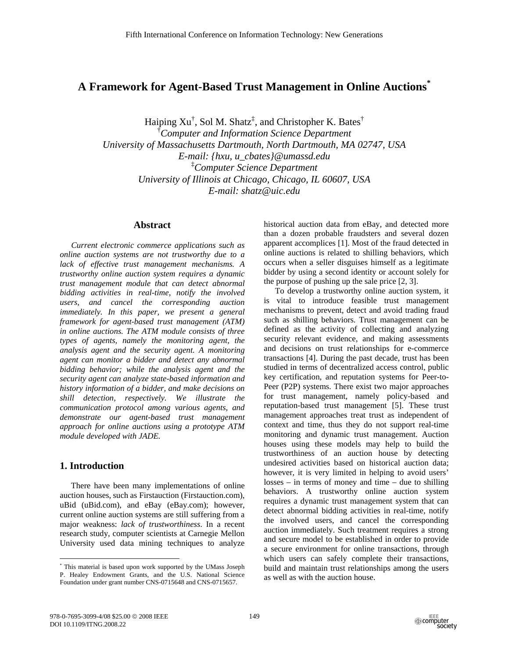# **A Framework for Agent-Based Trust Management in Online Auctions\***

Haiping  $Xu^{\dagger}$ , Sol M. Shatz $^{\ddagger}$ , and Christopher K. Bates $^{\dagger}$ † *Computer and Information Science Department University of Massachusetts Dartmouth, North Dartmouth, MA 02747, USA E-mail: {hxu, u\_cbates}@umassd.edu*  ‡ *Computer Science Department University of Illinois at Chicago, Chicago, IL 60607, USA E-mail: shatz@uic.edu* 

# **Abstract**

*Current electronic commerce applications such as online auction systems are not trustworthy due to a lack of effective trust management mechanisms. A trustworthy online auction system requires a dynamic trust management module that can detect abnormal bidding activities in real-time, notify the involved users, and cancel the corresponding auction immediately. In this paper, we present a general framework for agent-based trust management (ATM) in online auctions. The ATM module consists of three types of agents, namely the monitoring agent, the analysis agent and the security agent. A monitoring agent can monitor a bidder and detect any abnormal bidding behavior; while the analysis agent and the security agent can analyze state-based information and history information of a bidder, and make decisions on shill detection, respectively. We illustrate the communication protocol among various agents, and demonstrate our agent-based trust management approach for online auctions using a prototype ATM module developed with JADE.* 

# **1. Introduction**

 $\overline{a}$ 

There have been many implementations of online auction houses, such as Firstauction (Firstauction.com), uBid (uBid.com), and eBay (eBay.com); however, current online auction systems are still suffering from a major weakness: *lack of trustworthiness*. In a recent research study, computer scientists at Carnegie Mellon University used data mining techniques to analyze historical auction data from eBay, and detected more than a dozen probable fraudsters and several dozen apparent accomplices [1]. Most of the fraud detected in online auctions is related to shilling behaviors, which occurs when a seller disguises himself as a legitimate bidder by using a second identity or account solely for the purpose of pushing up the sale price [2, 3].

To develop a trustworthy online auction system, it is vital to introduce feasible trust management mechanisms to prevent, detect and avoid trading fraud such as shilling behaviors. Trust management can be defined as the activity of collecting and analyzing security relevant evidence, and making assessments and decisions on trust relationships for e-commerce transactions [4]. During the past decade, trust has been studied in terms of decentralized access control, public key certification, and reputation systems for Peer-to-Peer (P2P) systems. There exist two major approaches for trust management, namely policy-based and reputation-based trust management [5]. These trust management approaches treat trust as independent of context and time, thus they do not support real-time monitoring and dynamic trust management. Auction houses using these models may help to build the trustworthiness of an auction house by detecting undesired activities based on historical auction data; however, it is very limited in helping to avoid users' losses – in terms of money and time – due to shilling behaviors. A trustworthy online auction system requires a dynamic trust management system that can detect abnormal bidding activities in real-time, notify the involved users, and cancel the corresponding auction immediately. Such treatment requires a strong and secure model to be established in order to provide a secure environment for online transactions, through which users can safely complete their transactions, build and maintain trust relationships among the users as well as with the auction house.

<sup>\*</sup> This material is based upon work supported by the UMass Joseph P. Healey Endowment Grants, and the U.S. National Science Foundation under grant number CNS-0715648 and CNS-0715657.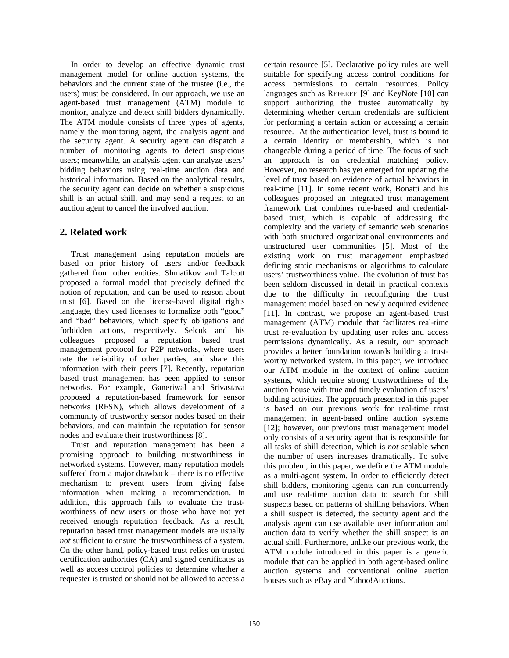In order to develop an effective dynamic trust management model for online auction systems, the behaviors and the current state of the trustee (i.e., the users) must be considered. In our approach, we use an agent-based trust management (ATM) module to monitor, analyze and detect shill bidders dynamically. The ATM module consists of three types of agents, namely the monitoring agent, the analysis agent and the security agent. A security agent can dispatch a number of monitoring agents to detect suspicious users; meanwhile, an analysis agent can analyze users' bidding behaviors using real-time auction data and historical information. Based on the analytical results, the security agent can decide on whether a suspicious shill is an actual shill, and may send a request to an auction agent to cancel the involved auction.

# **2. Related work**

Trust management using reputation models are based on prior history of users and/or feedback gathered from other entities. Shmatikov and Talcott proposed a formal model that precisely defined the notion of reputation, and can be used to reason about trust [6]. Based on the license-based digital rights language, they used licenses to formalize both "good" and "bad" behaviors, which specify obligations and forbidden actions, respectively. Selcuk and his colleagues proposed a reputation based trust management protocol for P2P networks, where users rate the reliability of other parties, and share this information with their peers [7]. Recently, reputation based trust management has been applied to sensor networks. For example, Ganeriwal and Srivastava proposed a reputation-based framework for sensor networks (RFSN), which allows development of a community of trustworthy sensor nodes based on their behaviors, and can maintain the reputation for sensor nodes and evaluate their trustworthiness [8].

Trust and reputation management has been a promising approach to building trustworthiness in networked systems. However, many reputation models suffered from a major drawback – there is no effective mechanism to prevent users from giving false information when making a recommendation. In addition, this approach fails to evaluate the trustworthiness of new users or those who have not yet received enough reputation feedback. As a result, reputation based trust management models are usually *not* sufficient to ensure the trustworthiness of a system. On the other hand, policy-based trust relies on trusted certification authorities (CA) and signed certificates as well as access control policies to determine whether a requester is trusted or should not be allowed to access a

certain resource [5]. Declarative policy rules are well suitable for specifying access control conditions for access permissions to certain resources. Policy languages such as REFEREE [9] and KeyNote [10] can support authorizing the trustee automatically by determining whether certain credentials are sufficient for performing a certain action or accessing a certain resource. At the authentication level, trust is bound to a certain identity or membership, which is not changeable during a period of time. The focus of such an approach is on credential matching policy. However, no research has yet emerged for updating the level of trust based on evidence of actual behaviors in real-time [11]. In some recent work, Bonatti and his colleagues proposed an integrated trust management framework that combines rule-based and credentialbased trust, which is capable of addressing the complexity and the variety of semantic web scenarios with both structured organizational environments and unstructured user communities [5]. Most of the existing work on trust management emphasized defining static mechanisms or algorithms to calculate users' trustworthiness value. The evolution of trust has been seldom discussed in detail in practical contexts due to the difficulty in reconfiguring the trust management model based on newly acquired evidence [11]. In contrast, we propose an agent-based trust management (ATM) module that facilitates real-time trust re-evaluation by updating user roles and access permissions dynamically. As a result, our approach provides a better foundation towards building a trustworthy networked system. In this paper, we introduce our ATM module in the context of online auction systems, which require strong trustworthiness of the auction house with true and timely evaluation of users' bidding activities. The approach presented in this paper is based on our previous work for real-time trust management in agent-based online auction systems [12]; however, our previous trust management model only consists of a security agent that is responsible for all tasks of shill detection, which is *not* scalable when the number of users increases dramatically. To solve this problem, in this paper, we define the ATM module as a multi-agent system. In order to efficiently detect shill bidders, monitoring agents can run concurrently and use real-time auction data to search for shill suspects based on patterns of shilling behaviors. When a shill suspect is detected, the security agent and the analysis agent can use available user information and auction data to verify whether the shill suspect is an actual shill. Furthermore, unlike our previous work, the ATM module introduced in this paper is a generic module that can be applied in both agent-based online auction systems and conventional online auction houses such as eBay and Yahoo!Auctions.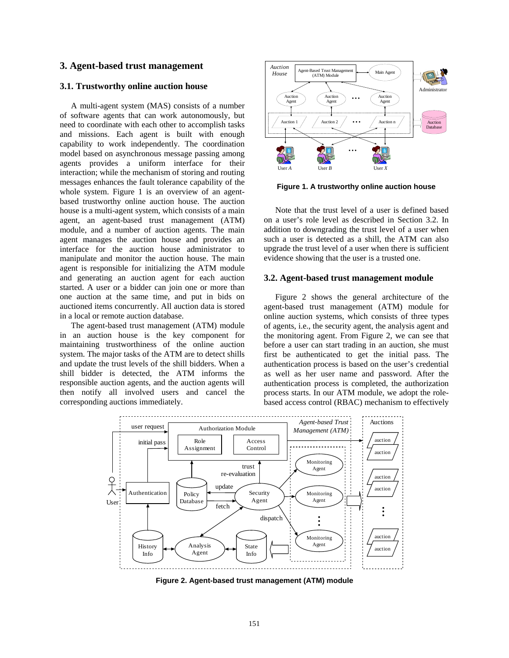### **3. Agent-based trust management**

# **3.1. Trustworthy online auction house**

A multi-agent system (MAS) consists of a number of software agents that can work autonomously, but need to coordinate with each other to accomplish tasks and missions. Each agent is built with enough capability to work independently. The coordination model based on asynchronous message passing among agents provides a uniform interface for their interaction; while the mechanism of storing and routing messages enhances the fault tolerance capability of the whole system. Figure 1 is an overview of an agentbased trustworthy online auction house. The auction house is a multi-agent system, which consists of a main agent, an agent-based trust management (ATM) module, and a number of auction agents. The main agent manages the auction house and provides an interface for the auction house administrator to manipulate and monitor the auction house. The main agent is responsible for initializing the ATM module and generating an auction agent for each auction started. A user or a bidder can join one or more than one auction at the same time, and put in bids on auctioned items concurrently. All auction data is stored in a local or remote auction database.

The agent-based trust management (ATM) module in an auction house is the key component for maintaining trustworthiness of the online auction system. The major tasks of the ATM are to detect shills and update the trust levels of the shill bidders. When a shill bidder is detected, the ATM informs the responsible auction agents, and the auction agents will then notify all involved users and cancel the corresponding auctions immediately.



**Figure 1. A trustworthy online auction house**

Note that the trust level of a user is defined based on a user's role level as described in Section 3.2. In addition to downgrading the trust level of a user when such a user is detected as a shill, the ATM can also upgrade the trust level of a user when there is sufficient evidence showing that the user is a trusted one.

#### **3.2. Agent-based trust management module**

Figure 2 shows the general architecture of the agent-based trust management (ATM) module for online auction systems, which consists of three types of agents, i.e., the security agent, the analysis agent and the monitoring agent. From Figure 2, we can see that before a user can start trading in an auction, she must first be authenticated to get the initial pass. The authentication process is based on the user's credential as well as her user name and password. After the authentication process is completed, the authorization process starts. In our ATM module, we adopt the rolebased access control (RBAC) mechanism to effectively



**Figure 2. Agent-based trust management (ATM) module**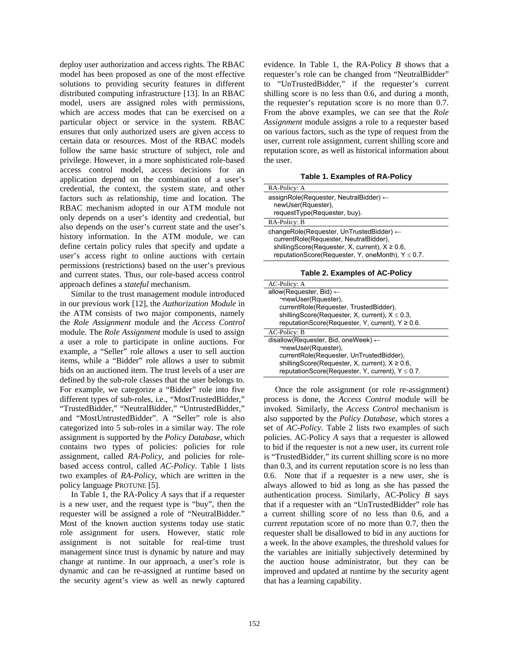deploy user authorization and access rights. The RBAC model has been proposed as one of the most effective solutions to providing security features in different distributed computing infrastructure [13]. In an RBAC model, users are assigned roles with permissions, which are access modes that can be exercised on a particular object or service in the system. RBAC ensures that only authorized users are given access to certain data or resources. Most of the RBAC models follow the same basic structure of subject, role and privilege. However, in a more sophisticated role-based access control model, access decisions for an application depend on the combination of a user's credential, the context, the system state, and other factors such as relationship, time and location. The RBAC mechanism adopted in our ATM module not only depends on a user's identity and credential, but also depends on the user's current state and the user's history information. In the ATM module, we can define certain policy rules that specify and update a user's access right to online auctions with certain permissions (restrictions) based on the user's previous and current states. Thus, our role-based access control approach defines a *stateful* mechanism.

Similar to the trust management module introduced in our previous work [12], the *Authorization Module* in the ATM consists of two major components, namely the *Role Assignment* module and the *Access Control* module. The *Role Assignment* module is used to assign a user a role to participate in online auctions. For example, a "Seller" role allows a user to sell auction items, while a "Bidder" role allows a user to submit bids on an auctioned item. The trust levels of a user are defined by the sub-role classes that the user belongs to. For example, we categorize a "Bidder" role into five different types of sub-roles, i.e., "MostTrustedBidder," "TrustedBidder," "NeutralBidder," "UntrustedBidder," and "MostUntrustedBidder". A "Seller" role is also categorized into 5 sub-roles in a similar way. The role assignment is supported by the *Policy Database*, which contains two types of policies: policies for role assignment, called *RA-Policy*, and policies for rolebased access control, called *AC-Policy*. Table 1 lists two examples of *RA-Policy*, which are written in the policy language PROTUNE [5].

In Table 1, the RA-Policy *A* says that if a requester is a new user, and the request type is "buy", then the requester will be assigned a role of "NeutralBidder." Most of the known auction systems today use static role assignment for users. However, static role assignment is not suitable for real-time trust management since trust is dynamic by nature and may change at runtime. In our approach, a user's role is dynamic and can be re-assigned at runtime based on the security agent's view as well as newly captured

evidence. In Table 1, the RA-Policy *B* shows that a requester's role can be changed from "NeutralBidder" to "UnTrustedBidder," if the requester's current shilling score is no less than 0.6, and during a month, the requester's reputation score is no more than 0.7. From the above examples, we can see that the *Role Assignment* module assigns a role to a requester based on various factors, such as the type of request from the user, current role assignment, current shilling score and reputation score, as well as historical information about the user.

**Table 1. Examples of RA-Policy**

| RA-Policy: A                                                                                                                                                                                                   |
|----------------------------------------------------------------------------------------------------------------------------------------------------------------------------------------------------------------|
| assignRole(Requester, NeutralBidder) $\leftarrow$<br>newUser(Rquester),<br>requestType(Requester, buy).                                                                                                        |
| RA-Policy: B                                                                                                                                                                                                   |
| changeRole(Requester, UnTrustedBidder) $\leftarrow$<br>currentRole(Requester, NeutralBidder),<br>shillingScore(Requester, X, current), $X \ge 0.6$ ,<br>reputationScore(Requester, Y, oneMonth), $Y \le 0.7$ . |
| <b>Table 2. Examples of AC-Policy</b>                                                                                                                                                                          |

| AC-Policy: A                                          |
|-------------------------------------------------------|
| allow(Requester, Bid) $\leftarrow$                    |
| ¬newUser(Rquester),                                   |
| currentRole(Requester, TrustedBidder),                |
| shillingScore(Requester, X, current), $X \le 0.3$ ,   |
| reputationScore(Requester, Y, current), $Y \ge 0.6$ . |
| AC-Policy: B                                          |
| disallow(Requester, Bid, oneWeek) $\leftarrow$        |
| ¬newUser(Rquester),                                   |
| currentRole(Requester, UnTrustedBidder),              |
| shillingScore(Requester, X, current), $X \ge 0.6$ ,   |
| reputationScore(Requester, Y, current), $Y \le 0.7$ . |

Once the role assignment (or role re-assignment) process is done, the *Access Control* module will be invoked. Similarly, the *Access Control* mechanism is also supported by the *Policy Database*, which stores a set of *AC-Policy*. Table 2 lists two examples of such policies. AC-Policy *A* says that a requester is allowed to bid if the requester is not a new user, its current role is "TrustedBidder," its current shilling score is no more than 0.3, and its current reputation score is no less than 0.6. Note that if a requester is a new user, she is always allowed to bid as long as she has passed the authentication process. Similarly, AC-Policy *B* says that if a requester with an "UnTrustedBidder" role has a current shilling score of no less than 0.6, and a current reputation score of no more than 0.7, then the requester shall be disallowed to bid in any auctions for a week. In the above examples, the threshold values for the variables are initially subjectively determined by the auction house administrator, but they can be improved and updated at runtime by the security agent that has a learning capability.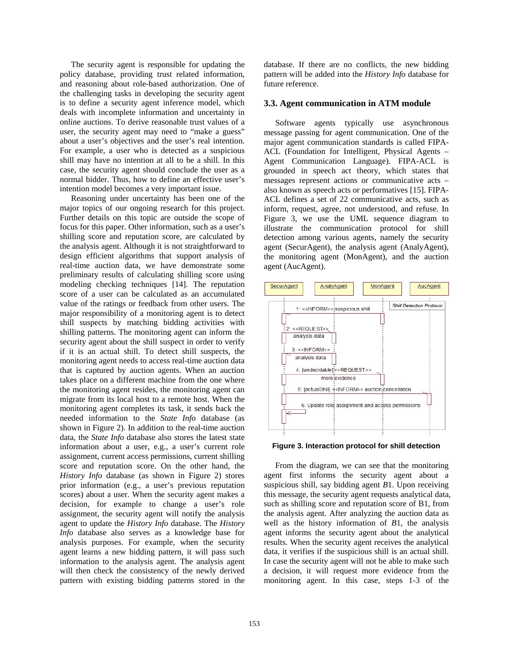The security agent is responsible for updating the policy database, providing trust related information, and reasoning about role-based authorization. One of the challenging tasks in developing the security agent is to define a security agent inference model, which deals with incomplete information and uncertainty in online auctions. To derive reasonable trust values of a user, the security agent may need to "make a guess" about a user's objectives and the user's real intention. For example, a user who is detected as a suspicious shill may have no intention at all to be a shill. In this case, the security agent should conclude the user as a normal bidder. Thus, how to define an effective user's intention model becomes a very important issue.

Reasoning under uncertainty has been one of the major topics of our ongoing research for this project. Further details on this topic are outside the scope of focus for this paper. Other information, such as a user's shilling score and reputation score, are calculated by the analysis agent. Although it is not straightforward to design efficient algorithms that support analysis of real-time auction data, we have demonstrate some preliminary results of calculating shilling score using modeling checking techniques [14]. The reputation score of a user can be calculated as an accumulated value of the ratings or feedback from other users. The major responsibility of a monitoring agent is to detect shill suspects by matching bidding activities with shilling patterns. The monitoring agent can inform the security agent about the shill suspect in order to verify if it is an actual shill. To detect shill suspects, the monitoring agent needs to access real-time auction data that is captured by auction agents. When an auction takes place on a different machine from the one where the monitoring agent resides, the monitoring agent can migrate from its local host to a remote host. When the monitoring agent completes its task, it sends back the needed information to the *State Info* database (as shown in Figure 2). In addition to the real-time auction data, the *State Info* database also stores the latest state information about a user, e.g., a user's current role assignment, current access permissions, current shilling score and reputation score. On the other hand, the *History Info* database (as shown in Figure 2) stores prior information (e.g., a user's previous reputation scores) about a user. When the security agent makes a decision, for example to change a user's role assignment, the security agent will notify the analysis agent to update the *History Info* database. The *History Info* database also serves as a knowledge base for analysis purposes. For example, when the security agent learns a new bidding pattern, it will pass such information to the analysis agent. The analysis agent will then check the consistency of the newly derived pattern with existing bidding patterns stored in the

database. If there are no conflicts, the new bidding pattern will be added into the *History Info* database for future reference.

#### **3.3. Agent communication in ATM module**

Software agents typically use asynchronous message passing for agent communication. One of the major agent communication standards is called FIPA-ACL (Foundation for Intelligent, Physical Agents – Agent Communication Language). FIPA-ACL is grounded in speech act theory, which states that messages represent actions or communicative acts – also known as speech acts or performatives [15]. FIPA-ACL defines a set of 22 communicative acts, such as inform, request, agree, not understood, and refuse. In Figure 3, we use the UML sequence diagram to illustrate the communication protocol for shill detection among various agents, namely the security agent (SecurAgent), the analysis agent (AnalyAgent), the monitoring agent (MonAgent), and the auction agent (AucAgent).



**Figure 3. Interaction protocol for shill detection** 

From the diagram, we can see that the monitoring agent first informs the security agent about a suspicious shill, say bidding agent *B*1. Upon receiving this message, the security agent requests analytical data, such as shilling score and reputation score of B1, from the analysis agent. After analyzing the auction data as well as the history information of *B*1, the analysis agent informs the security agent about the analytical results. When the security agent receives the analytical data, it verifies if the suspicious shill is an actual shill. In case the security agent will not be able to make such a decision, it will request more evidence from the monitoring agent. In this case, steps 1-3 of the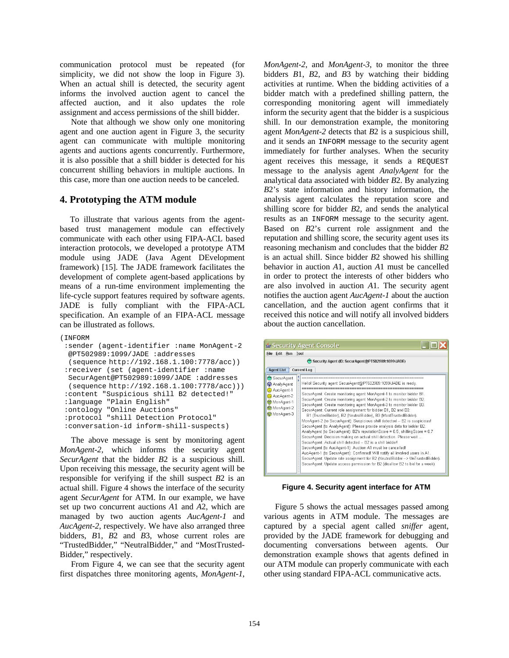communication protocol must be repeated (for simplicity, we did not show the loop in Figure 3). When an actual shill is detected, the security agent informs the involved auction agent to cancel the affected auction, and it also updates the role assignment and access permissions of the shill bidder.

Note that although we show only one monitoring agent and one auction agent in Figure 3, the security agent can communicate with multiple monitoring agents and auctions agents concurrently. Furthermore, it is also possible that a shill bidder is detected for his concurrent shilling behaviors in multiple auctions. In this case, more than one auction needs to be canceled.

## **4. Prototyping the ATM module**

To illustrate that various agents from the agentbased trust management module can effectively communicate with each other using FIPA-ACL based interaction protocols, we developed a prototype ATM module using JADE (Java Agent DEvelopment framework) [15]. The JADE framework facilitates the development of complete agent-based applications by means of a run-time environment implementing the life-cycle support features required by software agents. JADE is fully compliant with the FIPA-ACL specification. An example of an FIPA-ACL message can be illustrated as follows.

```
(INFORM 
:sender (agent-identifier :name MonAgent-2
```

```
 @PT502989:1099/JADE :addresses 
(sequence http://192.168.1.100:7778/acc)) 
:receiver (set (agent-identifier :name 
SecurAgent@PT502989:1099/JADE :addresses 
(sequence http://192.168.1.100:7778/acc))) 
:content "Suspicious shill B2 detected!" 
:language "Plain English" 
:ontology "Online Auctions" 
:protocol "shill Detection Protocol" 
:conversation-id inform-shill-suspects)
```
The above message is sent by monitoring agent *MonAgent-2*, which informs the security agent *SecurAgent* that the bidder *B*2 is a suspicious shill. Upon receiving this message, the security agent will be responsible for verifying if the shill suspect *B*2 is an actual shill. Figure 4 shows the interface of the security agent *SecurAgent* for ATM. In our example, we have set up two concurrent auctions *A*1 and *A*2, which are managed by two auction agents *AucAgent-1* and *AucAgent-2*, respectively. We have also arranged three bidders, *B*1, *B*2 and *B*3, whose current roles are "TrustedBidder," "NeutralBidder," and "MostTrusted-Bidder," respectively.

From Figure 4, we can see that the security agent first dispatches three monitoring agents, *MonAgent-1*,

*MonAgent-2*, and *MonAgent-3*, to monitor the three bidders *B*1, *B*2, and *B*3 by watching their bidding activities at runtime. When the bidding activities of a bidder match with a predefined shilling pattern, the corresponding monitoring agent will immediately inform the security agent that the bidder is a suspicious shill. In our demonstration example, the monitoring agent *MonAgent-2* detects that *B*2 is a suspicious shill, and it sends an INFORM message to the security agent immediately for further analyses. When the security agent receives this message, it sends a REQUEST message to the analysis agent *AnalyAgent* for the analytical data associated with bidder *B*2. By analyzing *B*2's state information and history information, the analysis agent calculates the reputation score and shilling score for bidder *B*2, and sends the analytical results as an INFORM message to the security agent. Based on *B*2's current role assignment and the reputation and shilling score, the security agent uses its reasoning mechanism and concludes that the bidder *B*2 is an actual shill. Since bidder *B*2 showed his shilling behavior in auction *A*1, auction *A*1 must be cancelled in order to protect the interests of other bidders who are also involved in auction *A*1. The security agent notifies the auction agent *AucAgent-1* about the auction cancellation, and the auction agent confirms that it received this notice and will notify all involved bidders about the auction cancellation.

|                                                                                                  | Security Agent Console                                                                                                                                                                                                                                                                                                                                                                                                                                                                                                                                                                                                                                                                                                                                                                                                                                                                                                                                                                                                                                                                                               |  |
|--------------------------------------------------------------------------------------------------|----------------------------------------------------------------------------------------------------------------------------------------------------------------------------------------------------------------------------------------------------------------------------------------------------------------------------------------------------------------------------------------------------------------------------------------------------------------------------------------------------------------------------------------------------------------------------------------------------------------------------------------------------------------------------------------------------------------------------------------------------------------------------------------------------------------------------------------------------------------------------------------------------------------------------------------------------------------------------------------------------------------------------------------------------------------------------------------------------------------------|--|
| File Edit Run<br><b>Tool</b>                                                                     |                                                                                                                                                                                                                                                                                                                                                                                                                                                                                                                                                                                                                                                                                                                                                                                                                                                                                                                                                                                                                                                                                                                      |  |
| Security Agent (ID: SecurAgent@PT502989:1099/JADE)                                               |                                                                                                                                                                                                                                                                                                                                                                                                                                                                                                                                                                                                                                                                                                                                                                                                                                                                                                                                                                                                                                                                                                                      |  |
| <b>Agent List</b>                                                                                | <b>Current Log</b>                                                                                                                                                                                                                                                                                                                                                                                                                                                                                                                                                                                                                                                                                                                                                                                                                                                                                                                                                                                                                                                                                                   |  |
| SecurAgent<br>AnalyAgent<br>S AucAgent-1<br>AucAgent-2<br>MonAgent-1<br>MonAgent-2<br>MonAgent-3 | Hello! Security agent SecurAgent@PT502989:1099/JADE is ready.<br>SecurAgent: Create monitoring agent MonAgent-1 to monitor bidder B1.<br>SecurAgent: Create monitoring agent MonAgent-2 to monitor bidder B2.<br>SecurAgent: Create monitoring agent MonAgent-3 to monitor bidder B3.<br>SecurAgent: Current role assignment for bidder B1, B2 and B3:<br>B1 (TrustedBidder), B2 (NeutralBidder), B3 (MostTrustedBidder).<br>MonAgent-2 (to SecurAgent): Suspicious shill detected -- B2 is suspicious!<br>SecurAgent (to AnalyAgent): Please provide analysis data for bidder B2.<br>AnalyAgent (to SecurAgent): B2's reputationScore = 0.5, shillingScore = 0.7<br>SecurAgent: Decision making on actual shill detection. Please wait<br>SecurAgent: Actual shill detected -- B2 is a shill bidder!<br>SecurAgent (to AucAgent-1): Auction A1 must be cancelled!<br>AucAgent-1 (to SecurAgent): Confirmed! Will notify all involved users in A1.<br>SecurAgent: Update role assignment for B2 (NeutralBidder --> UnTrustedBidder).<br>SecurAgent: Update access permission for B2 (disallow B2 to bid for a week). |  |

**Figure 4. Security agent interface for ATM** 

Figure 5 shows the actual messages passed among various agents in ATM module. The messages are captured by a special agent called *sniffer* agent, provided by the JADE framework for debugging and documenting conversations between agents. Our demonstration example shows that agents defined in our ATM module can properly communicate with each other using standard FIPA-ACL communicative acts.